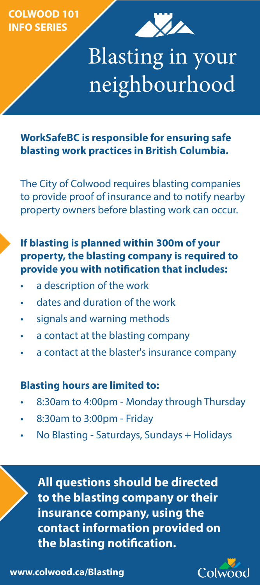**COLWOOD 101 INFO SERIES**



# Blasting in your neighbourhood

**WorkSafeBC is responsible for ensuring safe blasting work practices in British Columbia.** 

The City of Colwood requires blasting companies to provide proof of insurance and to notify nearby property owners before blasting work can occur.

### **If blasting is planned within 300m of your property, the blasting company is required to provide you with notification that includes:**

- a description of the work
- dates and duration of the work
- signals and warning methods
- a contact at the blasting company
- a contact at the blaster's insurance company

#### **Blasting hours are limited to:**

- 8:30am to 4:00pm Monday through Thursday
- 8:30am to 3:00pm Friday
- No Blasting Saturdays, Sundays + Holidays

**All questions should be directed to the blasting company or their insurance company, using the contact information provided on the blasting notification.**



**www.colwood.ca/Blasting**